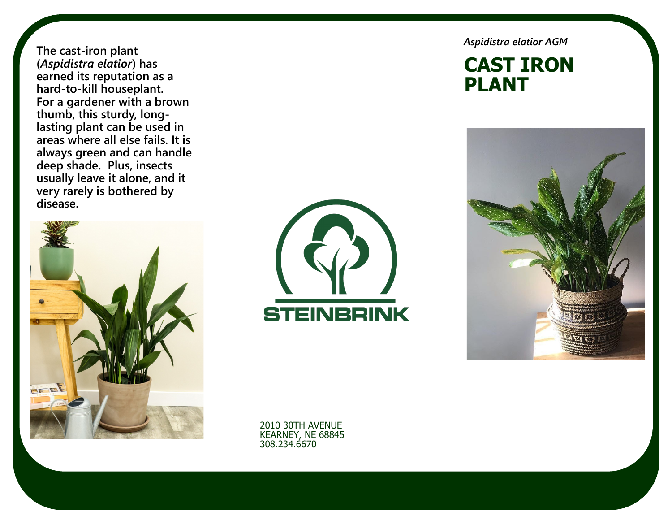**The cast-iron plant (***Aspidistra elatior***) has earned its reputation as a hard-to-[kill houseplant.](https://www.thespruce.com/easy-houseplants-hard-to-kill-4141665) For a gardener with a brown thumb, this sturdy, longlasting plant can be used in areas where all else fails. It is always green and [can handle](https://www.thespruce.com/great-shade-plants-for-container-gardens-847944)  [deep shade.](https://www.thespruce.com/great-shade-plants-for-container-gardens-847944) Plus, insects usually leave it alone, and it very rarely is bothered by disease.** 





*Aspidistra elatior AGM*

#### **CAST IRON PLANT**



2010 30TH AVENUE KEARNEY, NE 68845 308.234.6670